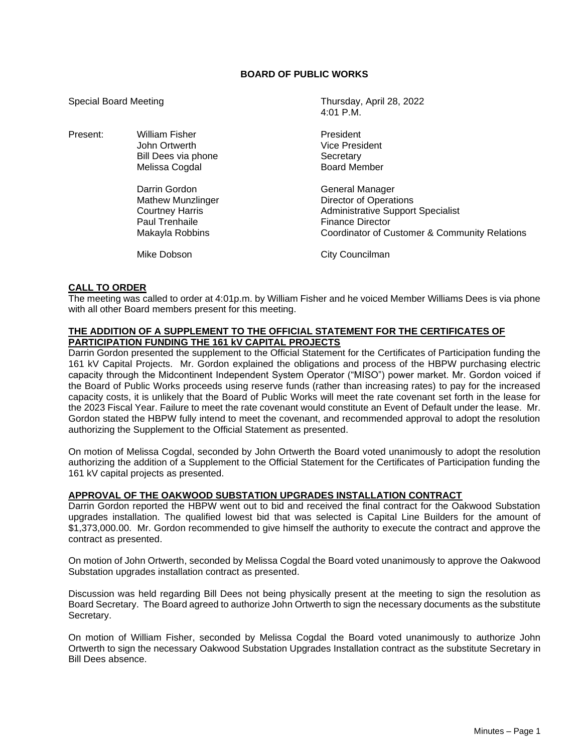# **BOARD OF PUBLIC WORKS**

Special Board Meeting Thursday, April 28, 2022  $4.01 \text{ P} \text{M}$ Present: William Fisher **President** President John Ortwerth **Vice President** Bill Dees via phone Secretary<br>Melissa Cogdal Secretary Secretary Secretary Melissa Cogdal Darrin Gordon General Manager Mathew Munzlinger **Director of Operations** Courtney Harris **All Administrative Support Specialist** Courtney Paul Trenhaile Finance Director<br>Makayla Robbins Finance Director Coordinator of Cu Coordinator of Customer & Community Relations Mike Dobson **City Councilman** 

### **CALL TO ORDER**

The meeting was called to order at 4:01p.m. by William Fisher and he voiced Member Williams Dees is via phone with all other Board members present for this meeting.

## **THE ADDITION OF A SUPPLEMENT TO THE OFFICIAL STATEMENT FOR THE CERTIFICATES OF PARTICIPATION FUNDING THE 161 kV CAPITAL PROJECTS**

Darrin Gordon presented the supplement to the Official Statement for the Certificates of Participation funding the 161 kV Capital Projects. Mr. Gordon explained the obligations and process of the HBPW purchasing electric capacity through the Midcontinent Independent System Operator ("MISO") power market. Mr. Gordon voiced if the Board of Public Works proceeds using reserve funds (rather than increasing rates) to pay for the increased capacity costs, it is unlikely that the Board of Public Works will meet the rate covenant set forth in the lease for the 2023 Fiscal Year. Failure to meet the rate covenant would constitute an Event of Default under the lease. Mr. Gordon stated the HBPW fully intend to meet the covenant, and recommended approval to adopt the resolution authorizing the Supplement to the Official Statement as presented.

On motion of Melissa Cogdal, seconded by John Ortwerth the Board voted unanimously to adopt the resolution authorizing the addition of a Supplement to the Official Statement for the Certificates of Participation funding the 161 kV capital projects as presented.

#### **APPROVAL OF THE OAKWOOD SUBSTATION UPGRADES INSTALLATION CONTRACT**

Darrin Gordon reported the HBPW went out to bid and received the final contract for the Oakwood Substation upgrades installation. The qualified lowest bid that was selected is Capital Line Builders for the amount of \$1,373,000.00. Mr. Gordon recommended to give himself the authority to execute the contract and approve the contract as presented.

On motion of John Ortwerth, seconded by Melissa Cogdal the Board voted unanimously to approve the Oakwood Substation upgrades installation contract as presented.

Discussion was held regarding Bill Dees not being physically present at the meeting to sign the resolution as Board Secretary. The Board agreed to authorize John Ortwerth to sign the necessary documents as the substitute Secretary.

On motion of William Fisher, seconded by Melissa Cogdal the Board voted unanimously to authorize John Ortwerth to sign the necessary Oakwood Substation Upgrades Installation contract as the substitute Secretary in Bill Dees absence.